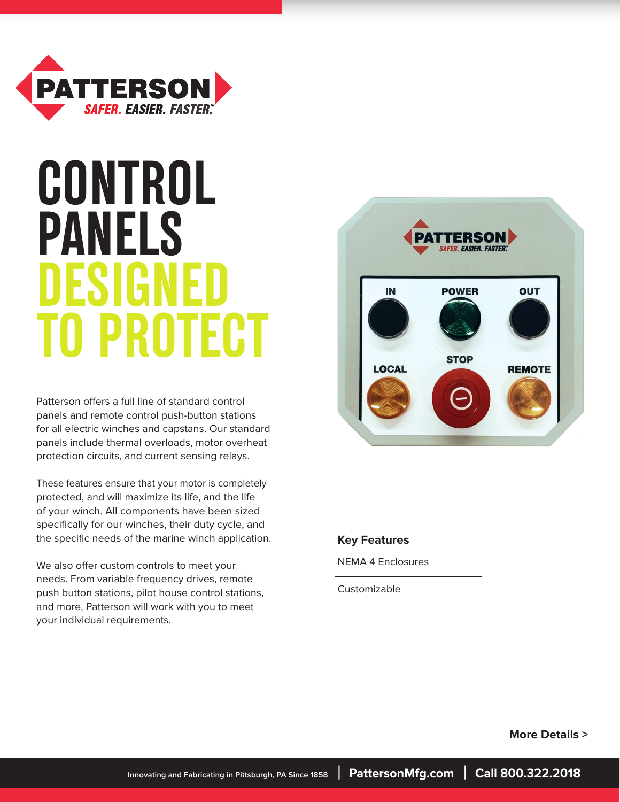

# **CONTROL PANELS DESIG TO PROTECT**

Patterson offers a full line of standard control panels and remote control push-button stations for all electric winches and capstans. Our standard panels include thermal overloads, motor overheat protection circuits, and current sensing relays.

These features ensure that your motor is completely protected, and will maximize its life, and the life of your winch. All components have been sized specifically for our winches, their duty cycle, and the specific needs of the marine winch application.

We also offer custom controls to meet your needs. From variable frequency drives, remote push button stations, pilot house control stations, and more, Patterson will work with you to meet your individual requirements.



### **Key Features**

NEMA 4 Enclosures

Customizable

 **More Details >**